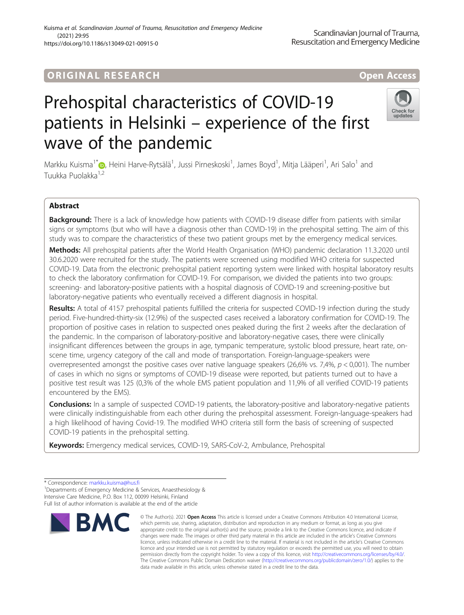# Prehospital characteristics of COVID-19 patients in Helsinki – experience of the first wave of the pandemic

Markku Kuisma<sup>1[\\*](http://orcid.org/0000-0002-3057-6524)</sup>®, Heini Harve-Rytsälä<sup>1</sup>, Jussi Pirneskoski<sup>1</sup>, James Boyd<sup>1</sup>, Mitja Lääperi<sup>1</sup>, Ari Salo<sup>1</sup> and Tuukka Puolakka1,2

# Abstract

Background: There is a lack of knowledge how patients with COVID-19 disease differ from patients with similar signs or symptoms (but who will have a diagnosis other than COVID-19) in the prehospital setting. The aim of this study was to compare the characteristics of these two patient groups met by the emergency medical services.

Methods: All prehospital patients after the World Health Organisation (WHO) pandemic declaration 11.3.2020 until 30.6.2020 were recruited for the study. The patients were screened using modified WHO criteria for suspected COVID-19. Data from the electronic prehospital patient reporting system were linked with hospital laboratory results to check the laboratory confirmation for COVID-19. For comparison, we divided the patients into two groups: screening- and laboratory-positive patients with a hospital diagnosis of COVID-19 and screening-positive but laboratory-negative patients who eventually received a different diagnosis in hospital.

Results: A total of 4157 prehospital patients fulfilled the criteria for suspected COVID-19 infection during the study period. Five-hundred-thirty-six (12.9%) of the suspected cases received a laboratory confirmation for COVID-19. The proportion of positive cases in relation to suspected ones peaked during the first 2 weeks after the declaration of the pandemic. In the comparison of laboratory-positive and laboratory-negative cases, there were clinically insignificant differences between the groups in age, tympanic temperature, systolic blood pressure, heart rate, onscene time, urgency category of the call and mode of transportation. Foreign-language-speakers were overrepresented amongst the positive cases over native language speakers (26,6% vs. 7,4%,  $p < 0,001$ ). The number of cases in which no signs or symptoms of COVID-19 disease were reported, but patients turned out to have a positive test result was 125 (0,3% of the whole EMS patient population and 11,9% of all verified COVID-19 patients encountered by the EMS).

Conclusions: In a sample of suspected COVID-19 patients, the laboratory-positive and laboratory-negative patients were clinically indistinguishable from each other during the prehospital assessment. Foreign-language-speakers had a high likelihood of having Covid-19. The modified WHO criteria still form the basis of screening of suspected COVID-19 patients in the prehospital setting.

data made available in this article, unless otherwise stated in a credit line to the data.

© The Author(s), 2021 **Open Access** This article is licensed under a Creative Commons Attribution 4.0 International License, which permits use, sharing, adaptation, distribution and reproduction in any medium or format, as long as you give

Keywords: Emergency medical services, COVID-19, SARS-CoV-2, Ambulance, Prehospital



Scandinavian Journal of Trauma,





<sup>\*</sup> Correspondence: [markku.kuisma@hus.fi](mailto:markku.kuisma@hus.fi) <sup>1</sup> <sup>1</sup> Departments of Emergency Medicine & Services, Anaesthesiology &

Intensive Care Medicine, P.O. Box 112, 00099 Helsinki, Finland Full list of author information is available at the end of the article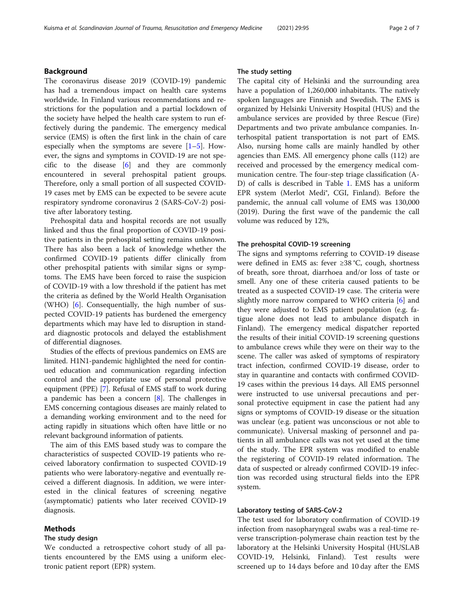# Background

The coronavirus disease 2019 (COVID-19) pandemic has had a tremendous impact on health care systems worldwide. In Finland various recommendations and restrictions for the population and a partial lockdown of the society have helped the health care system to run effectively during the pandemic. The emergency medical service (EMS) is often the first link in the chain of care especially when the symptoms are severe  $[1-5]$  $[1-5]$  $[1-5]$  $[1-5]$  $[1-5]$ . However, the signs and symptoms in COVID-19 are not specific to the disease [\[6](#page-5-0)] and they are commonly encountered in several prehospital patient groups. Therefore, only a small portion of all suspected COVID-19 cases met by EMS can be expected to be severe acute respiratory syndrome coronavirus 2 (SARS-CoV-2) positive after laboratory testing.

Prehospital data and hospital records are not usually linked and thus the final proportion of COVID-19 positive patients in the prehospital setting remains unknown. There has also been a lack of knowledge whether the confirmed COVID-19 patients differ clinically from other prehospital patients with similar signs or symptoms. The EMS have been forced to raise the suspicion of COVID-19 with a low threshold if the patient has met the criteria as defined by the World Health Organisation (WHO) [\[6](#page-5-0)]. Consequentially, the high number of suspected COVID-19 patients has burdened the emergency departments which may have led to disruption in standard diagnostic protocols and delayed the establishment of differential diagnoses.

Studies of the effects of previous pandemics on EMS are limited. H1N1-pandemic highlighted the need for continued education and communication regarding infection control and the appropriate use of personal protective equipment (PPE) [[7](#page-5-0)]. Refusal of EMS staff to work during a pandemic has been a concern [\[8\]](#page-5-0). The challenges in EMS concerning contagious diseases are mainly related to a demanding working environment and to the need for acting rapidly in situations which often have little or no relevant background information of patients.

The aim of this EMS based study was to compare the characteristics of suspected COVID-19 patients who received laboratory confirmation to suspected COVID-19 patients who were laboratory-negative and eventually received a different diagnosis. In addition, we were interested in the clinical features of screening negative (asymptomatic) patients who later received COVID-19 diagnosis.

# Methods

## The study design

We conducted a retrospective cohort study of all patients encountered by the EMS using a uniform electronic patient report (EPR) system.

# The study setting

The capital city of Helsinki and the surrounding area have a population of 1,260,000 inhabitants. The natively spoken languages are Finnish and Swedish. The EMS is organized by Helsinki University Hospital (HUS) and the ambulance services are provided by three Rescue (Fire) Departments and two private ambulance companies. Interhospital patient transportation is not part of EMS. Also, nursing home calls are mainly handled by other agencies than EMS. All emergency phone calls (112) are received and processed by the emergency medical communication centre. The four-step triage classification (A-D) of calls is described in Table [1.](#page-2-0) EMS has a uniform EPR system (Merlot Medi®, CGI, Finland). Before the pandemic, the annual call volume of EMS was 130,000 (2019). During the first wave of the pandemic the call volume was reduced by 12%,

## The prehospital COVID-19 screening

The signs and symptoms referring to COVID-19 disease were defined in EMS as: fever ≥38 °C, cough, shortness of breath, sore throat, diarrhoea and/or loss of taste or smell. Any one of these criteria caused patients to be treated as a suspected COVID-19 case. The criteria were slightly more narrow compared to WHO criteria [\[6](#page-5-0)] and they were adjusted to EMS patient population (e.g. fatigue alone does not lead to ambulance dispatch in Finland). The emergency medical dispatcher reported the results of their initial COVID-19 screening questions to ambulance crews while they were on their way to the scene. The caller was asked of symptoms of respiratory tract infection, confirmed COVID-19 disease, order to stay in quarantine and contacts with confirmed COVID-19 cases within the previous 14 days. All EMS personnel were instructed to use universal precautions and personal protective equipment in case the patient had any signs or symptoms of COVID-19 disease or the situation was unclear (e.g. patient was unconscious or not able to communicate). Universal masking of personnel and patients in all ambulance calls was not yet used at the time of the study. The EPR system was modified to enable the registering of COVID-19 related information. The data of suspected or already confirmed COVID-19 infection was recorded using structural fields into the EPR system.

# Laboratory testing of SARS-CoV-2

The test used for laboratory confirmation of COVID-19 infection from nasopharyngeal swabs was a real-time reverse transcription-polymerase chain reaction test by the laboratory at the Helsinki University Hospital (HUSLAB COVID-19, Helsinki, Finland). Test results were screened up to 14 days before and 10 day after the EMS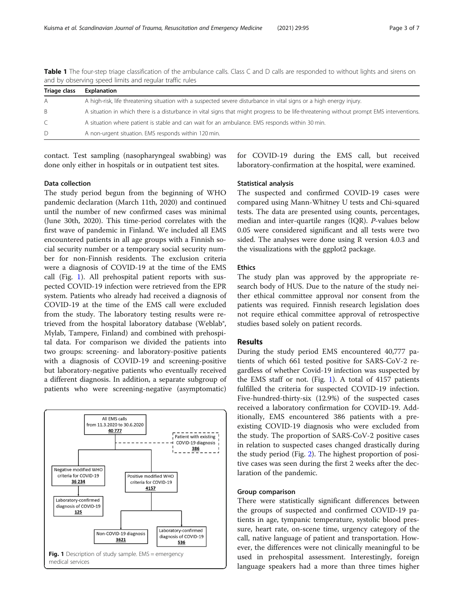| Triage class | Explanation                                                                                                                             |
|--------------|-----------------------------------------------------------------------------------------------------------------------------------------|
| Α            | A high-risk, life threatening situation with a suspected severe disturbance in vital signs or a high energy injury.                     |
| B            | A situation in which there is a disturbance in vital signs that might progress to be life-threatening without prompt EMS interventions. |
|              | A situation where patient is stable and can wait for an ambulance. EMS responds within 30 min.                                          |
| D            | A non-urgent situation. EMS responds within 120 min.                                                                                    |

<span id="page-2-0"></span>Table 1 The four-step triage classification of the ambulance calls. Class C and D calls are responded to without lights and sirens on and by observing speed limits and regular traffic rules

contact. Test sampling (nasopharyngeal swabbing) was done only either in hospitals or in outpatient test sites.

## Data collection

The study period begun from the beginning of WHO pandemic declaration (March 11th, 2020) and continued until the number of new confirmed cases was minimal (June 30th, 2020). This time-period correlates with the first wave of pandemic in Finland. We included all EMS encountered patients in all age groups with a Finnish social security number or a temporary social security number for non-Finnish residents. The exclusion criteria were a diagnosis of COVID-19 at the time of the EMS call (Fig. 1). All prehospital patient reports with suspected COVID-19 infection were retrieved from the EPR system. Patients who already had received a diagnosis of COVID-19 at the time of the EMS call were excluded from the study. The laboratory testing results were retrieved from the hospital laboratory database (Weblab®, Mylab, Tampere, Finland) and combined with prehospital data. For comparison we divided the patients into two groups: screening- and laboratory-positive patients with a diagnosis of COVID-19 and screening-positive but laboratory-negative patients who eventually received a different diagnosis. In addition, a separate subgroup of patients who were screening-negative (asymptomatic)



for COVID-19 during the EMS call, but received laboratory-confirmation at the hospital, were examined.

### Statistical analysis

The suspected and confirmed COVID-19 cases were compared using Mann-Whitney U tests and Chi-squared tests. The data are presented using counts, percentages, median and inter-quartile ranges (IQR). P-values below 0.05 were considered significant and all tests were two sided. The analyses were done using R version 4.0.3 and the visualizations with the ggplot2 package.

# Ethics

The study plan was approved by the appropriate research body of HUS. Due to the nature of the study neither ethical committee approval nor consent from the patients was required. Finnish research legislation does not require ethical committee approval of retrospective studies based solely on patient records.

## Results

During the study period EMS encountered 40,777 patients of which 661 tested positive for SARS-CoV-2 regardless of whether Covid-19 infection was suspected by the EMS staff or not. (Fig. 1). A total of 4157 patients fulfilled the criteria for suspected COVID-19 infection. Five-hundred-thirty-six (12.9%) of the suspected cases received a laboratory confirmation for COVID-19. Additionally, EMS encountered 386 patients with a preexisting COVID-19 diagnosis who were excluded from the study. The proportion of SARS-CoV-2 positive cases in relation to suspected cases changed drastically during the study period (Fig. [2](#page-3-0)). The highest proportion of positive cases was seen during the first 2 weeks after the declaration of the pandemic.

# Group comparison

There were statistically significant differences between the groups of suspected and confirmed COVID-19 patients in age, tympanic temperature, systolic blood pressure, heart rate, on-scene time, urgency category of the call, native language of patient and transportation. However, the differences were not clinically meaningful to be used in prehospital assessment. Interestingly, foreign language speakers had a more than three times higher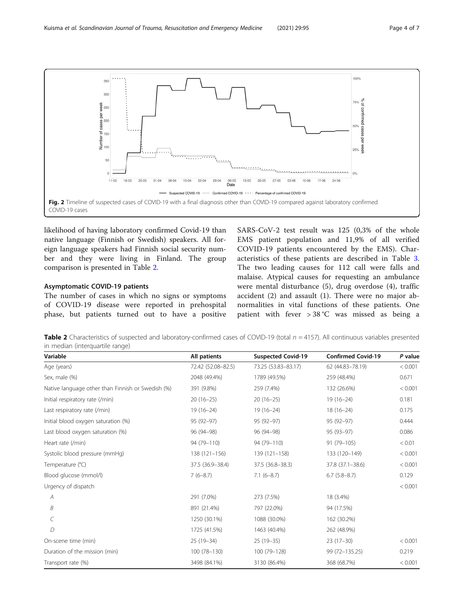<span id="page-3-0"></span>

likelihood of having laboratory confirmed Covid-19 than native language (Finnish or Swedish) speakers. All foreign language speakers had Finnish social security number and they were living in Finland. The group comparison is presented in Table 2.

## Asymptomatic COVID-19 patients

The number of cases in which no signs or symptoms of COVID-19 disease were reported in prehospital phase, but patients turned out to have a positive

SARS-CoV-2 test result was 125 (0,3% of the whole EMS patient population and 11,9% of all verified COVID-19 patients encountered by the EMS). Characteristics of these patients are described in Table [3](#page-4-0). The two leading causes for 112 call were falls and malaise. Atypical causes for requesting an ambulance were mental disturbance (5), drug overdose (4), traffic accident (2) and assault (1). There were no major abnormalities in vital functions of these patients. One patient with fever > 38 °C was missed as being a

**Table 2** Characteristics of suspected and laboratory-confirmed cases of COVID-19 (total  $n = 4157$ ). All continuous variables presented in median (interquartile range)

| Variable                                          | All patients       | <b>Suspected Covid-19</b> | <b>Confirmed Covid-19</b> | P value |
|---------------------------------------------------|--------------------|---------------------------|---------------------------|---------|
| Age (years)                                       | 72.42 (52.08-82.5) | 73.25 (53.83-83.17)       | 62 (44.83-78.19)          | < 0.001 |
| Sex, male (%)                                     | 2048 (49.4%)       | 1789 (49.5%)              | 259 (48.4%)               | 0.671   |
| Native language other than Finnish or Swedish (%) | 391 (9.8%)         | 259 (7.4%)                | 132 (26.6%)               | < 0.001 |
| Initial respiratory rate (/min)                   | $20(16-25)$        | $20(16-25)$               | $19(16-24)$               | 0.181   |
| Last respiratory rate (/min)                      | $19(16 - 24)$      | $19(16 - 24)$             | $18(16-24)$               | 0.175   |
| Initial blood oxygen saturation (%)               | 95 (92-97)         | 95 (92-97)                | 95 (92-97)                | 0.444   |
| Last blood oxygen saturation (%)                  | 96 (94-98)         | 96 (94-98)                | 95 (93-97)                | 0.086   |
| Heart rate (/min)                                 | 94 (79-110)        | 94 (79-110)               | 91 (79-105)               | < 0.01  |
| Systolic blood pressure (mmHg)                    | 138 (121-156)      | 139 (121-158)             | 133 (120-149)             | < 0.001 |
| Temperature (°C)                                  | 37.5 (36.9-38.4)   | 37.5 (36.8-38.3)          | 37.8 (37.1-38.6)          | < 0.001 |
| Blood glucose (mmol/l)                            | $7(6-8.7)$         | $7.1(6-8.7)$              | $6.7(5.8-8.7)$            | 0.129   |
| Urgency of dispatch                               |                    |                           |                           | < 0.001 |
| A                                                 | 291 (7.0%)         | 273 (7.5%)                | 18 (3.4%)                 |         |
| B                                                 | 891 (21.4%)        | 797 (22.0%)               | 94 (17.5%)                |         |
| C                                                 | 1250 (30.1%)       | 1088 (30.0%)              | 162 (30.2%)               |         |
| D                                                 | 1725 (41.5%)       | 1463 (40.4%)              | 262 (48.9%)               |         |
| On-scene time (min)                               | 25 (19-34)         | 25 (19-35)                | $23(17-30)$               | < 0.001 |
| Duration of the mission (min)                     | $100(78-130)$      | 100 (79-128)              | 99 (72-135.25)            | 0.219   |
| Transport rate (%)                                | 3498 (84.1%)       | 3130 (86.4%)              | 368 (68.7%)               | < 0.001 |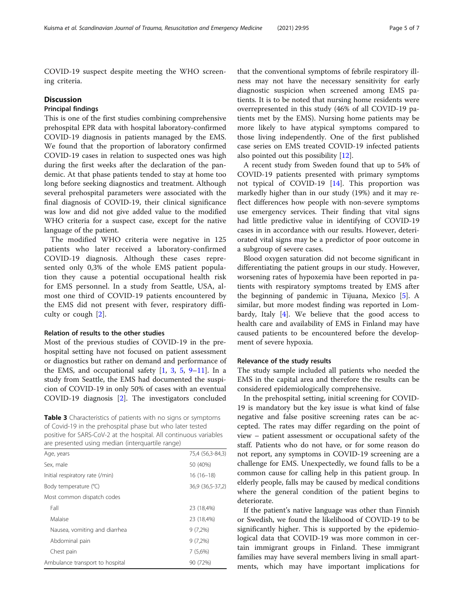<span id="page-4-0"></span>COVID-19 suspect despite meeting the WHO screening criteria.

# **Discussion**

# Principal findings

This is one of the first studies combining comprehensive prehospital EPR data with hospital laboratory-confirmed COVID-19 diagnosis in patients managed by the EMS. We found that the proportion of laboratory confirmed COVID-19 cases in relation to suspected ones was high during the first weeks after the declaration of the pandemic. At that phase patients tended to stay at home too long before seeking diagnostics and treatment. Although several prehospital parameters were associated with the final diagnosis of COVID-19, their clinical significance was low and did not give added value to the modified WHO criteria for a suspect case, except for the native language of the patient.

The modified WHO criteria were negative in 125 patients who later received a laboratory-confirmed COVID-19 diagnosis. Although these cases represented only 0,3% of the whole EMS patient population they cause a potential occupational health risk for EMS personnel. In a study from Seattle, USA, almost one third of COVID-19 patients encountered by the EMS did not present with fever, respiratory difficulty or cough [\[2](#page-5-0)].

# Relation of results to the other studies

Most of the previous studies of COVID-19 in the prehospital setting have not focused on patient assessment or diagnostics but rather on demand and performance of the EMS, and occupational safety  $[1, 3, 5, 9-11]$  $[1, 3, 5, 9-11]$  $[1, 3, 5, 9-11]$  $[1, 3, 5, 9-11]$  $[1, 3, 5, 9-11]$  $[1, 3, 5, 9-11]$  $[1, 3, 5, 9-11]$  $[1, 3, 5, 9-11]$  $[1, 3, 5, 9-11]$ . In a study from Seattle, the EMS had documented the suspicion of COVID-19 in only 50% of cases with an eventual COVID-19 diagnosis [[2\]](#page-5-0). The investigators concluded

Table 3 Characteristics of patients with no signs or symptoms of Covid-19 in the prehospital phase but who later tested positive for SARS-CoV-2 at the hospital. All continuous variables are presented using median (interquartile range)

| Age, years                      | 75,4 (56,3-84,3) |  |
|---------------------------------|------------------|--|
| Sex, male                       | 50 (40%)         |  |
| Initial respiratory rate (/min) | $16(16-18)$      |  |
| Body temperature (°C)           | 36,9 (36,5-37,2) |  |
| Most common dispatch codes      |                  |  |
| Fall                            | 23 (18,4%)       |  |
| Malaise                         | 23 (18,4%)       |  |
| Nausea, vomiting and diarrhea   | $9(7,2\%)$       |  |
| Abdominal pain                  | $9(7.2\%)$       |  |
| Chest pain                      | 7(5,6%)          |  |
| Ambulance transport to hospital | 90 (72%)         |  |
|                                 |                  |  |

that the conventional symptoms of febrile respiratory illness may not have the necessary sensitivity for early diagnostic suspicion when screened among EMS patients. It is to be noted that nursing home residents were overrepresented in this study (46% of all COVID-19 patients met by the EMS). Nursing home patients may be more likely to have atypical symptoms compared to those living independently. One of the first published case series on EMS treated COVID-19 infected patients also pointed out this possibility [[12\]](#page-6-0).

A recent study from Sweden found that up to 54% of COVID-19 patients presented with primary symptoms not typical of COVID-19 [[14\]](#page-6-0). This proportion was markedly higher than in our study (19%) and it may reflect differences how people with non-severe symptoms use emergency services. Their finding that vital signs had little predictive value in identifying of COVID-19 cases in in accordance with our results. However, deteriorated vital signs may be a predictor of poor outcome in a subgroup of severe cases.

Blood oxygen saturation did not become significant in differentiating the patient groups in our study. However, worsening rates of hypoxemia have been reported in patients with respiratory symptoms treated by EMS after the beginning of pandemic in Tijuana, Mexico [\[5](#page-5-0)]. A similar, but more modest finding was reported in Lombardy, Italy  $[4]$  $[4]$ . We believe that the good access to health care and availability of EMS in Finland may have caused patients to be encountered before the development of severe hypoxia.

## Relevance of the study results

The study sample included all patients who needed the EMS in the capital area and therefore the results can be considered epidemiologically comprehensive.

In the prehospital setting, initial screening for COVID-19 is mandatory but the key issue is what kind of false negative and false positive screening rates can be accepted. The rates may differ regarding on the point of view – patient assessment or occupational safety of the staff. Patients who do not have, or for some reason do not report, any symptoms in COVID-19 screening are a challenge for EMS. Unexpectedly, we found falls to be a common cause for calling help in this patient group. In elderly people, falls may be caused by medical conditions where the general condition of the patient begins to deteriorate.

If the patient's native language was other than Finnish or Swedish, we found the likelihood of COVID-19 to be significantly higher. This is supported by the epidemiological data that COVID-19 was more common in certain immigrant groups in Finland. These immigrant families may have several members living in small apartments, which may have important implications for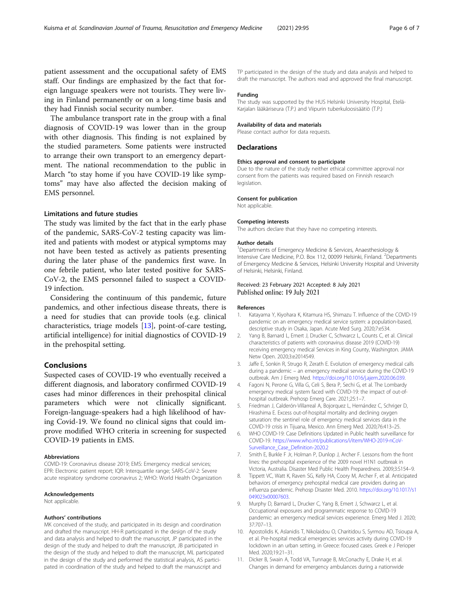<span id="page-5-0"></span>patient assessment and the occupational safety of EMS staff. Our findings are emphasized by the fact that foreign language speakers were not tourists. They were living in Finland permanently or on a long-time basis and they had Finnish social security number.

The ambulance transport rate in the group with a final diagnosis of COVID-19 was lower than in the group with other diagnosis. This finding is not explained by the studied parameters. Some patients were instructed to arrange their own transport to an emergency department. The national recommendation to the public in March "to stay home if you have COVID-19 like symptoms" may have also affected the decision making of EMS personnel.

# Limitations and future studies

The study was limited by the fact that in the early phase of the pandemic, SARS-CoV-2 testing capacity was limited and patients with modest or atypical symptoms may not have been tested as actively as patients presenting during the later phase of the pandemics first wave. In one febrile patient, who later tested positive for SARS-CoV-2, the EMS personnel failed to suspect a COVID-19 infection.

Considering the continuum of this pandemic, future pandemics, and other infectious disease threats, there is a need for studies that can provide tools (e.g. clinical characteristics, triage models [\[13](#page-6-0)], point-of-care testing, artificial intelligence) for initial diagnostics of COVID-19 in the prehospital setting.

# Conclusions

Suspected cases of COVID-19 who eventually received a different diagnosis, and laboratory confirmed COVID-19 cases had minor differences in their prehospital clinical parameters which were not clinically significant. Foreign-language-speakers had a high likelihood of having Covid-19. We found no clinical signs that could improve modified WHO criteria in screening for suspected COVID-19 patients in EMS.

#### Abbreviations

COVID-19: Coronavirus disease 2019; EMS: Emergency medical services; EPR: Electronic patient report; IQR: Interquartile range; SARS-CoV-2: Severe acute respiratory syndrome coronavirus 2; WHO: World Health Organization

## Acknowledgements

Not applicable.

#### Authors' contributions

MK conceived of the study, and participated in its design and coordination and drafted the manuscript. HH-R participated in the design of the study and data analysis and helped to draft the manuscript, JP participated in the design of the study and helped to draft the manuscript, JB participated in the design of the study and helped to draft the manuscript, ML participated in the design of the study and performed the statistical analysis, AS participated in coordination of the study and helped to draft the manuscript and

TP participated in the design of the study and data analysis and helped to draft the manuscript. The authors read and approved the final manuscript.

#### Funding

The study was supported by the HUS Helsinki University Hospital, Etelä-Karjalan lääkäriseura (T.P.) and Viipurin tuberkuloosisäätiö (T.P.)

#### Availability of data and materials

Please contact author for data requests.

#### **Declarations**

#### Ethics approval and consent to participate

Due to the nature of the study neither ethical committee approval nor consent from the patients was required based on Finnish research legislation.

## Consent for publication

Not applicable.

# Competing interests

The authors declare that they have no competing interests.

#### Author details

<sup>1</sup>Departments of Emergency Medicine & Services, Anaesthesiology & Intensive Care Medicine, P.O. Box 112, 00099 Helsinki, Finland. <sup>2</sup> Departments of Emergency Medicine & Services, Helsinki University Hospital and University of Helsinki, Helsinki, Finland.

# Received: 23 February 2021 Accepted: 8 July 2021 Published online: 19 July 2021

#### References

- 1. Katayama Y, Kiyohara K, Kitamura HS, Shimazu T. Influence of the COVID-19 pandemic on an emergency medical service system: a population-based, descriptive study in Osaka, Japan. Acute Med Surg. 2020;7:e534.
- 2. Yang B, Barnard L, Emert J, Drucker C, Schwarcz L, Counts C, et al. Clinical characteristics of patients with coronavirus disease 2019 (COVID-19) receiving emergency medical Services in King County, Washington. JAMA Netw Open. 2020;3:e2014549.
- 3. Jaffe E, Sonkin R, Strugo R, Zerath E. Evolution of emergency medical calls during a pandemic – an emergency medical service during the COVID-19 outbreak. Am J Emerg Med. [https://doi.org/10.1016/j.ajem.2020.06.039.](https://doi.org/10.1016/j.ajem.2020.06.039)
- 4. Fagoni N, Perone G, Villa G, Celi S, Bera P, Sechi G, et al. The Lombardy emergency medical system faced with COVID-19: the impact of out-ofhospital outbreak. Prehosp Emerg Care. 2021;25:1–7.
- 5. Friedman J, Calderón-Villarreal A, Bojorquez L, Hernández C, Schriger D, Hirashima E. Excess out-of-hospital mortality and declining oxygen saturation: the sentinel role of emergency medical services data in the COVID-19 crisis in Tijuana, Mexico. Ann Emerg Med. 2020;76:413–25.
- 6. WHO COVID-19: Case Definitions Updated in Public health surveillance for COVID-19. [https://www.who.int/publications/i/item/WHO-2019-nCoV-](https://www.who.int/publications/i/item/WHO-2019-nCoV-Surveillance_Case_Definition-2020.2)[Surveillance\\_Case\\_Definition-2020.2](https://www.who.int/publications/i/item/WHO-2019-nCoV-Surveillance_Case_Definition-2020.2)
- 7. Smith E, Burkle F Jr, Holman P, Dunlop J, Archer F. Lessons from the front lines: the prehospital experience of the 2009 novel H1N1 outbreak in Victoria, Australia. Disaster Med Public Health Preparedness. 2009;3:S154–9.
- 8. Tippett VC, Watt K, Raven SG, Kelly HA, Coory M, Archer F, et al. Anticipated behaviors of emergency prehospital medical care providers during an influenza pandemic. Prehosp Disaster Med. 2010. [https://doi.org/10.1017/s1](https://doi.org/10.1017/s1049023x00007603) [049023x00007603.](https://doi.org/10.1017/s1049023x00007603)
- Murphy D, Barnard L, Drucker C, Yang B, Emert J, Schwarcz L, et al. Occupational exposures and programmatic response to COVID-19 pandemic: an emergency medical services experience. Emerg Med J. 2020; 37:707–13.
- 10. Apostolidis K, Aslanidis T, Nikolaidou O, Charitidou S, Syrmou AD, Tsioupa A, et al. Pre-hospital medical emergencies services activity during COVID-19 lockdown in an urban setting, in Greece: focused cases. Greek e J Perioper Med. 2020;19:21–31.
- 11. Dicker B, Swain A, Todd VA, Tunnage B, McConachy E, Drake H, et al. Changes in demand for emergency ambulances during a nationwide